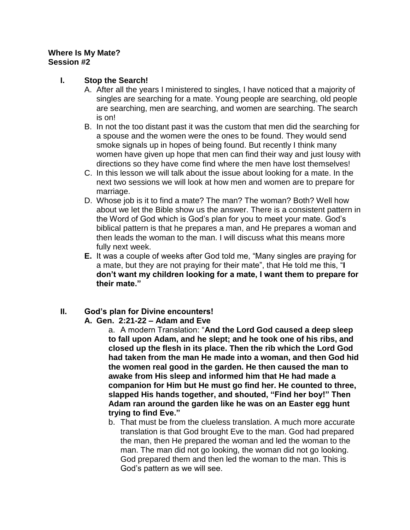#### **Where Is My Mate? Session #2**

### **I. Stop the Search!**

- A. After all the years I ministered to singles, I have noticed that a majority of singles are searching for a mate. Young people are searching, old people are searching, men are searching, and women are searching. The search is on!
- B. In not the too distant past it was the custom that men did the searching for a spouse and the women were the ones to be found. They would send smoke signals up in hopes of being found. But recently I think many women have given up hope that men can find their way and just lousy with directions so they have come find where the men have lost themselves!
- C. In this lesson we will talk about the issue about looking for a mate. In the next two sessions we will look at how men and women are to prepare for marriage.
- D. Whose job is it to find a mate? The man? The woman? Both? Well how about we let the Bible show us the answer. There is a consistent pattern in the Word of God which is God's plan for you to meet your mate. God's biblical pattern is that he prepares a man, and He prepares a woman and then leads the woman to the man. I will discuss what this means more fully next week.
- **E.** It was a couple of weeks after God told me, "Many singles are praying for a mate, but they are not praying for their mate", that He told me this, "**I don't want my children looking for a mate, I want them to prepare for their mate."**

## **II. God's plan for Divine encounters!**

#### **A. Gen. 2:21-22 – Adam and Eve**

a. A modern Translation: "**And the Lord God caused a deep sleep to fall upon Adam, and he slept; and he took one of his ribs, and closed up the flesh in its place. Then the rib which the Lord God had taken from the man He made into a woman, and then God hid the women real good in the garden. He then caused the man to awake from His sleep and informed him that He had made a companion for Him but He must go find her. He counted to three, slapped His hands together, and shouted, "Find her boy!" Then Adam ran around the garden like he was on an Easter egg hunt trying to find Eve."**

b. That must be from the clueless translation. A much more accurate translation is that God brought Eve to the man. God had prepared the man, then He prepared the woman and led the woman to the man. The man did not go looking, the woman did not go looking. God prepared them and then led the woman to the man. This is God's pattern as we will see.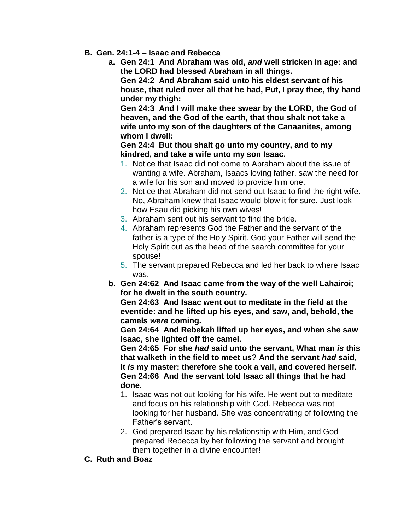- **B. Gen. 24:1-4 – Isaac and Rebecca**
	- **a. Gen 24:1 And Abraham was old,** *and* **well stricken in age: and the LORD had blessed Abraham in all things.**

**Gen 24:2 And Abraham said unto his eldest servant of his house, that ruled over all that he had, Put, I pray thee, thy hand under my thigh:** 

**Gen 24:3 And I will make thee swear by the LORD, the God of heaven, and the God of the earth, that thou shalt not take a wife unto my son of the daughters of the Canaanites, among whom I dwell:** 

**Gen 24:4 But thou shalt go unto my country, and to my kindred, and take a wife unto my son Isaac.** 

- 1. Notice that Isaac did not come to Abraham about the issue of wanting a wife. Abraham, Isaacs loving father, saw the need for a wife for his son and moved to provide him one.
- 2. Notice that Abraham did not send out Isaac to find the right wife. No, Abraham knew that Isaac would blow it for sure. Just look how Esau did picking his own wives!
- 3. Abraham sent out his servant to find the bride.
- 4. Abraham represents God the Father and the servant of the father is a type of the Holy Spirit. God your Father will send the Holy Spirit out as the head of the search committee for your spouse!
- 5. The servant prepared Rebecca and led her back to where Isaac was.
- **b. Gen 24:62 And Isaac came from the way of the well Lahairoi; for he dwelt in the south country.**

**Gen 24:63 And Isaac went out to meditate in the field at the eventide: and he lifted up his eyes, and saw, and, behold, the camels** *were* **coming.** 

**Gen 24:64 And Rebekah lifted up her eyes, and when she saw Isaac, she lighted off the camel.** 

**Gen 24:65 For she** *had* **said unto the servant, What man** *is* **this that walketh in the field to meet us? And the servant** *had* **said, It** *is* **my master: therefore she took a vail, and covered herself. Gen 24:66 And the servant told Isaac all things that he had done.** 

- 1. Isaac was not out looking for his wife. He went out to meditate and focus on his relationship with God. Rebecca was not looking for her husband. She was concentrating of following the Father's servant.
- 2. God prepared Isaac by his relationship with Him, and God prepared Rebecca by her following the servant and brought them together in a divine encounter!
- **C. Ruth and Boaz**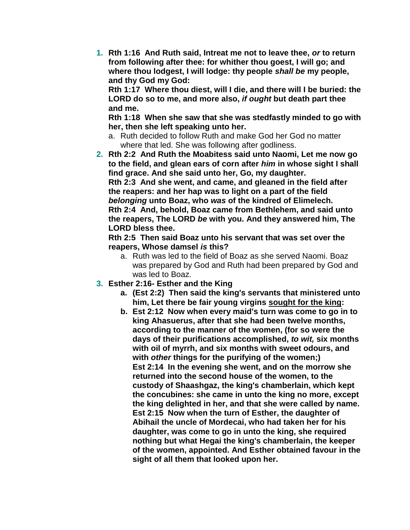**1. Rth 1:16 And Ruth said, Intreat me not to leave thee,** *or* **to return from following after thee: for whither thou goest, I will go; and where thou lodgest, I will lodge: thy people** *shall be* **my people, and thy God my God:** 

**Rth 1:17 Where thou diest, will I die, and there will I be buried: the LORD do so to me, and more also,** *if ought* **but death part thee and me.** 

**Rth 1:18 When she saw that she was stedfastly minded to go with her, then she left speaking unto her.** 

- a. Ruth decided to follow Ruth and make God her God no matter where that led. She was following after godliness.
- **2. Rth 2:2 And Ruth the Moabitess said unto Naomi, Let me now go to the field, and glean ears of corn after** *him* **in whose sight I shall find grace. And she said unto her, Go, my daughter. Rth 2:3 And she went, and came, and gleaned in the field after the reapers: and her hap was to light on a part of the field**  *belonging* **unto Boaz, who** *was* **of the kindred of Elimelech. Rth 2:4 And, behold, Boaz came from Bethlehem, and said unto**

**the reapers, The LORD** *be* **with you. And they answered him, The LORD bless thee.** 

**Rth 2:5 Then said Boaz unto his servant that was set over the reapers, Whose damsel** *is* **this?** 

- a. Ruth was led to the field of Boaz as she served Naomi. Boaz was prepared by God and Ruth had been prepared by God and was led to Boaz.
- **3. Esther 2:16- Esther and the King**
	- **a. (Est 2:2) Then said the king's servants that ministered unto him, Let there be fair young virgins sought for the king:**
	- **b. Est 2:12 Now when every maid's turn was come to go in to king Ahasuerus, after that she had been twelve months, according to the manner of the women, (for so were the days of their purifications accomplished,** *to wit,* **six months with oil of myrrh, and six months with sweet odours, and with** *other* **things for the purifying of the women;) Est 2:14 In the evening she went, and on the morrow she returned into the second house of the women, to the custody of Shaashgaz, the king's chamberlain, which kept the concubines: she came in unto the king no more, except the king delighted in her, and that she were called by name. Est 2:15 Now when the turn of Esther, the daughter of Abihail the uncle of Mordecai, who had taken her for his daughter, was come to go in unto the king, she required nothing but what Hegai the king's chamberlain, the keeper of the women, appointed. And Esther obtained favour in the sight of all them that looked upon her.**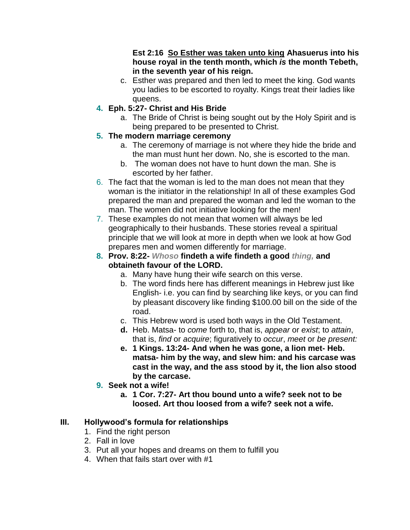**Est 2:16 So Esther was taken unto king Ahasuerus into his house royal in the tenth month, which** *is* **the month Tebeth, in the seventh year of his reign.** 

- c. Esther was prepared and then led to meet the king. God wants you ladies to be escorted to royalty. Kings treat their ladies like queens.
- **4. Eph. 5:27- Christ and His Bride**
	- a. The Bride of Christ is being sought out by the Holy Spirit and is being prepared to be presented to Christ.
- **5. The modern marriage ceremony**
	- a. The ceremony of marriage is not where they hide the bride and the man must hunt her down. No, she is escorted to the man.
	- b. The woman does not have to hunt down the man. She is escorted by her father.
- 6. The fact that the woman is led to the man does not mean that they woman is the initiator in the relationship! In all of these examples God prepared the man and prepared the woman and led the woman to the man. The women did not initiative looking for the men!
- 7. These examples do not mean that women will always be led geographically to their husbands. These stories reveal a spiritual principle that we will look at more in depth when we look at how God prepares men and women differently for marriage.
- **8. Prov. 8:22-** *Whoso* **findeth a wife findeth a good** *thing,* **and obtaineth favour of the LORD.**
	- a. Many have hung their wife search on this verse.
	- b. The word finds here has different meanings in Hebrew just like English- i.e. you can find by searching like keys, or you can find by pleasant discovery like finding \$100.00 bill on the side of the road.
	- c. This Hebrew word is used both ways in the Old Testament.
	- **d.** Heb. Matsa- to *come* forth to, that is, *appear* or *exist*; to *attain*, that is, *find* or *acquire*; figuratively to *occur*, *meet* or *be present:*
	- **e. 1 Kings. 13:24- And when he was gone, a lion met- Heb. matsa- him by the way, and slew him: and his carcase was cast in the way, and the ass stood by it, the lion also stood by the carcase.**
- **9. Seek not a wife!**
	- **a. 1 Cor. 7:27- Art thou bound unto a wife? seek not to be loosed. Art thou loosed from a wife? seek not a wife.**

# **III. Hollywood's formula for relationships**

- 1. Find the right person
- 2. Fall in love
- 3. Put all your hopes and dreams on them to fulfill you
- 4. When that fails start over with #1